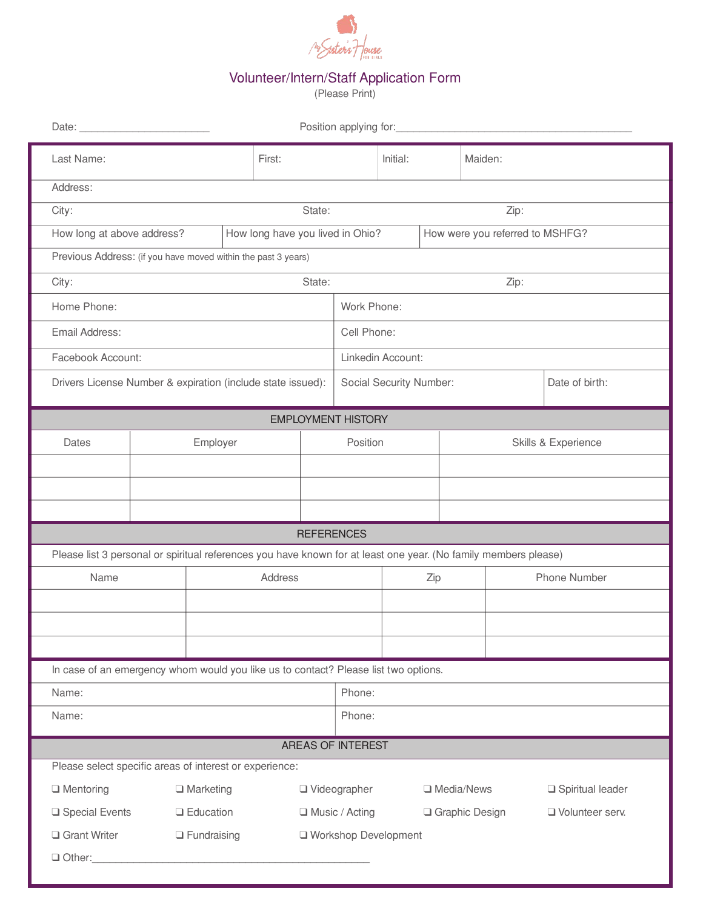

## Volunteer/Intern/Staff Application Form

(Please Print)

| Position applying for:<br>Date:                                                                                 |          |                                        |                  |                                  |                         |          |                                 |                     |                  |  |  |  |
|-----------------------------------------------------------------------------------------------------------------|----------|----------------------------------------|------------------|----------------------------------|-------------------------|----------|---------------------------------|---------------------|------------------|--|--|--|
| Last Name:                                                                                                      |          |                                        | First:           |                                  |                         | Initial: |                                 | Maiden:             |                  |  |  |  |
| Address:                                                                                                        |          |                                        |                  |                                  |                         |          |                                 |                     |                  |  |  |  |
| City:                                                                                                           |          |                                        | State:           |                                  | Zip:                    |          |                                 |                     |                  |  |  |  |
| How long at above address?                                                                                      |          |                                        |                  | How long have you lived in Ohio? |                         |          | How were you referred to MSHFG? |                     |                  |  |  |  |
| Previous Address: (if you have moved within the past 3 years)                                                   |          |                                        |                  |                                  |                         |          |                                 |                     |                  |  |  |  |
| City:                                                                                                           |          |                                        | State:           | Zip:                             |                         |          |                                 |                     |                  |  |  |  |
| Home Phone:                                                                                                     |          |                                        |                  |                                  | Work Phone:             |          |                                 |                     |                  |  |  |  |
| Email Address:                                                                                                  |          |                                        |                  |                                  | Cell Phone:             |          |                                 |                     |                  |  |  |  |
| Facebook Account:                                                                                               |          |                                        |                  |                                  | Linkedin Account:       |          |                                 |                     |                  |  |  |  |
| Drivers License Number & expiration (include state issued):                                                     |          |                                        |                  |                                  | Social Security Number: |          |                                 | Date of birth:      |                  |  |  |  |
| <b>EMPLOYMENT HISTORY</b>                                                                                       |          |                                        |                  |                                  |                         |          |                                 |                     |                  |  |  |  |
| Dates                                                                                                           | Employer |                                        |                  | Position                         |                         |          |                                 | Skills & Experience |                  |  |  |  |
|                                                                                                                 |          |                                        |                  |                                  |                         |          |                                 |                     |                  |  |  |  |
|                                                                                                                 |          |                                        |                  |                                  |                         |          |                                 |                     |                  |  |  |  |
|                                                                                                                 |          |                                        |                  |                                  |                         |          |                                 |                     |                  |  |  |  |
| <b>REFERENCES</b>                                                                                               |          |                                        |                  |                                  |                         |          |                                 |                     |                  |  |  |  |
| Please list 3 personal or spiritual references you have known for at least one year. (No family members please) |          |                                        |                  |                                  |                         |          |                                 |                     |                  |  |  |  |
| Name                                                                                                            |          |                                        | Address          |                                  |                         | Zip      |                                 | Phone Number        |                  |  |  |  |
|                                                                                                                 |          |                                        |                  |                                  |                         |          |                                 |                     |                  |  |  |  |
|                                                                                                                 |          |                                        |                  |                                  |                         |          |                                 |                     |                  |  |  |  |
|                                                                                                                 |          |                                        |                  |                                  |                         |          |                                 |                     |                  |  |  |  |
| In case of an emergency whom would you like us to contact? Please list two options.                             |          |                                        |                  |                                  |                         |          |                                 |                     |                  |  |  |  |
| Name:                                                                                                           |          |                                        |                  | Phone:                           |                         |          |                                 |                     |                  |  |  |  |
| Name:                                                                                                           |          |                                        |                  |                                  | Phone:                  |          |                                 |                     |                  |  |  |  |
| AREAS OF INTEREST                                                                                               |          |                                        |                  |                                  |                         |          |                                 |                     |                  |  |  |  |
| Please select specific areas of interest or experience:                                                         |          |                                        |                  |                                  |                         |          |                                 |                     |                  |  |  |  |
| $\Box$ Mentoring                                                                                                |          | $\Box$ Marketing                       |                  |                                  | $\Box$ Videographer     |          | □ Media/News                    |                     | Spiritual leader |  |  |  |
| □ Special Events                                                                                                |          | $\Box$ Education<br>$\Box$ Fundraising | □ Music / Acting |                                  | Graphic Design          |          |                                 | Volunteer serv.     |                  |  |  |  |
| Grant Writer                                                                                                    |          | □ Workshop Development                 |                  |                                  |                         |          |                                 |                     |                  |  |  |  |
| Other:                                                                                                          |          |                                        |                  |                                  |                         |          |                                 |                     |                  |  |  |  |